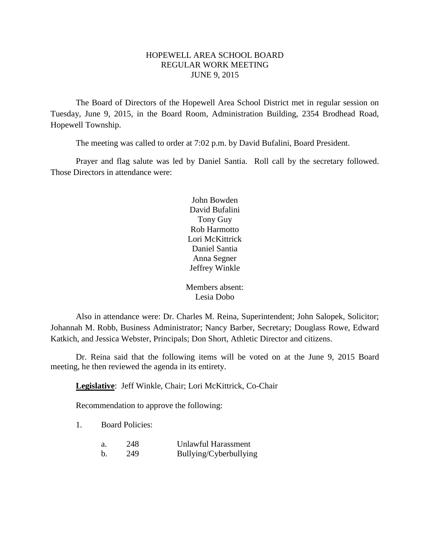## HOPEWELL AREA SCHOOL BOARD REGULAR WORK MEETING JUNE 9, 2015

The Board of Directors of the Hopewell Area School District met in regular session on Tuesday, June 9, 2015, in the Board Room, Administration Building, 2354 Brodhead Road, Hopewell Township.

The meeting was called to order at 7:02 p.m. by David Bufalini, Board President.

Prayer and flag salute was led by Daniel Santia. Roll call by the secretary followed. Those Directors in attendance were:

> John Bowden David Bufalini Tony Guy Rob Harmotto Lori McKittrick Daniel Santia Anna Segner Jeffrey Winkle

Members absent: Lesia Dobo

Also in attendance were: Dr. Charles M. Reina, Superintendent; John Salopek, Solicitor; Johannah M. Robb, Business Administrator; Nancy Barber, Secretary; Douglass Rowe, Edward Katkich, and Jessica Webster, Principals; Don Short, Athletic Director and citizens.

Dr. Reina said that the following items will be voted on at the June 9, 2015 Board meeting, he then reviewed the agenda in its entirety.

**Legislative**: Jeff Winkle, Chair; Lori McKittrick, Co-Chair

Recommendation to approve the following:

1. Board Policies:

| a. | 248 | Unlawful Harassment    |
|----|-----|------------------------|
| b  | 249 | Bullying/Cyberbullying |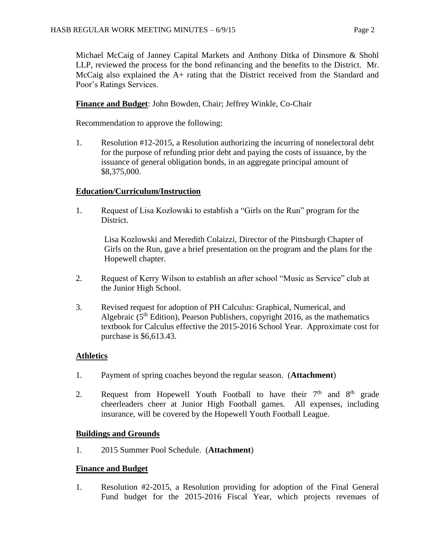Michael McCaig of Janney Capital Markets and Anthony Ditka of Dinsmore & Shohl LLP, reviewed the process for the bond refinancing and the benefits to the District. Mr. McCaig also explained the A+ rating that the District received from the Standard and Poor's Ratings Services.

# **Finance and Budget**: John Bowden, Chair; Jeffrey Winkle, Co-Chair

Recommendation to approve the following:

1. Resolution #12-2015, a Resolution authorizing the incurring of nonelectoral debt for the purpose of refunding prior debt and paying the costs of issuance, by the issuance of general obligation bonds, in an aggregate principal amount of \$8,375,000.

# **Education/Curriculum/Instruction**

1. Request of Lisa Kozlowski to establish a "Girls on the Run" program for the District.

Lisa Kozlowski and Meredith Colaizzi, Director of the Pittsburgh Chapter of Girls on the Run, gave a brief presentation on the program and the plans for the Hopewell chapter.

- 2. Request of Kerry Wilson to establish an after school "Music as Service" club at the Junior High School.
- 3. Revised request for adoption of PH Calculus: Graphical, Numerical, and Algebraic ( $5<sup>th</sup>$  Edition), Pearson Publishers, copyright 2016, as the mathematics textbook for Calculus effective the 2015-2016 School Year. Approximate cost for purchase is \$6,613.43.

## **Athletics**

- 1. Payment of spring coaches beyond the regular season. (**Attachment**)
- 2. Request from Hopewell Youth Football to have their  $7<sup>th</sup>$  and  $8<sup>th</sup>$  grade cheerleaders cheer at Junior High Football games. All expenses, including insurance, will be covered by the Hopewell Youth Football League.

## **Buildings and Grounds**

1. 2015 Summer Pool Schedule. (**Attachment**)

## **Finance and Budget**

1. Resolution #2-2015, a Resolution providing for adoption of the Final General Fund budget for the 2015-2016 Fiscal Year, which projects revenues of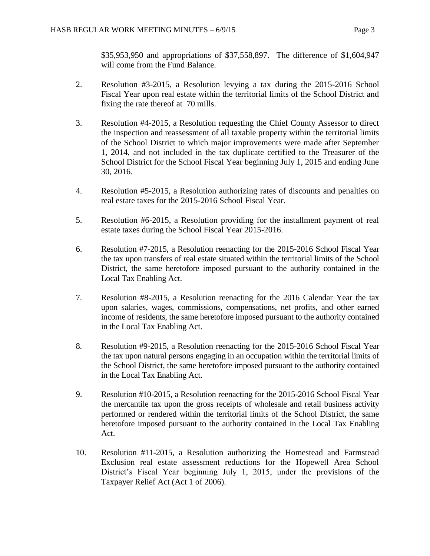\$35,953,950 and appropriations of \$37,558,897. The difference of \$1,604,947 will come from the Fund Balance.

- 2. Resolution #3-2015, a Resolution levying a tax during the 2015-2016 School Fiscal Year upon real estate within the territorial limits of the School District and fixing the rate thereof at 70 mills.
- 3. Resolution #4-2015, a Resolution requesting the Chief County Assessor to direct the inspection and reassessment of all taxable property within the territorial limits of the School District to which major improvements were made after September 1, 2014, and not included in the tax duplicate certified to the Treasurer of the School District for the School Fiscal Year beginning July 1, 2015 and ending June 30, 2016.
- 4. Resolution #5-2015, a Resolution authorizing rates of discounts and penalties on real estate taxes for the 2015-2016 School Fiscal Year.
- 5. Resolution #6-2015, a Resolution providing for the installment payment of real estate taxes during the School Fiscal Year 2015-2016.
- 6. Resolution #7-2015, a Resolution reenacting for the 2015-2016 School Fiscal Year the tax upon transfers of real estate situated within the territorial limits of the School District, the same heretofore imposed pursuant to the authority contained in the Local Tax Enabling Act.
- 7. Resolution #8-2015, a Resolution reenacting for the 2016 Calendar Year the tax upon salaries, wages, commissions, compensations, net profits, and other earned income of residents, the same heretofore imposed pursuant to the authority contained in the Local Tax Enabling Act.
- 8. Resolution #9-2015, a Resolution reenacting for the 2015-2016 School Fiscal Year the tax upon natural persons engaging in an occupation within the territorial limits of the School District, the same heretofore imposed pursuant to the authority contained in the Local Tax Enabling Act.
- 9. Resolution #10-2015, a Resolution reenacting for the 2015-2016 School Fiscal Year the mercantile tax upon the gross receipts of wholesale and retail business activity performed or rendered within the territorial limits of the School District, the same heretofore imposed pursuant to the authority contained in the Local Tax Enabling Act.
- 10. Resolution #11-2015, a Resolution authorizing the Homestead and Farmstead Exclusion real estate assessment reductions for the Hopewell Area School District's Fiscal Year beginning July 1, 2015, under the provisions of the Taxpayer Relief Act (Act 1 of 2006).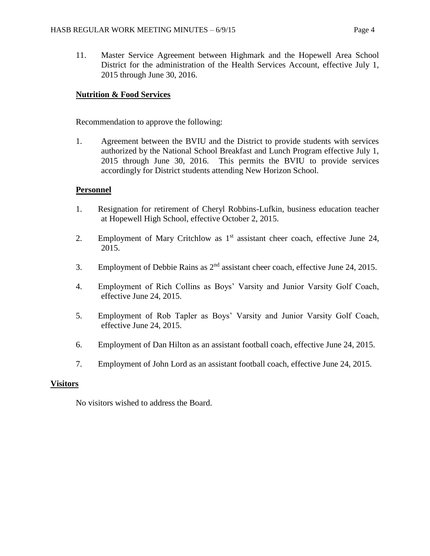11. Master Service Agreement between Highmark and the Hopewell Area School District for the administration of the Health Services Account, effective July 1, 2015 through June 30, 2016.

# **Nutrition & Food Services**

Recommendation to approve the following:

1. Agreement between the BVIU and the District to provide students with services authorized by the National School Breakfast and Lunch Program effective July 1, 2015 through June 30, 2016. This permits the BVIU to provide services accordingly for District students attending New Horizon School.

## **Personnel**

- 1. Resignation for retirement of Cheryl Robbins-Lufkin, business education teacher at Hopewell High School, effective October 2, 2015.
- 2. Employment of Mary Critchlow as 1<sup>st</sup> assistant cheer coach, effective June 24, 2015.
- 3. Employment of Debbie Rains as 2nd assistant cheer coach, effective June 24, 2015.
- 4. Employment of Rich Collins as Boys' Varsity and Junior Varsity Golf Coach, effective June 24, 2015.
- 5. Employment of Rob Tapler as Boys' Varsity and Junior Varsity Golf Coach, effective June 24, 2015.
- 6. Employment of Dan Hilton as an assistant football coach, effective June 24, 2015.
- 7. Employment of John Lord as an assistant football coach, effective June 24, 2015.

#### **Visitors**

No visitors wished to address the Board.